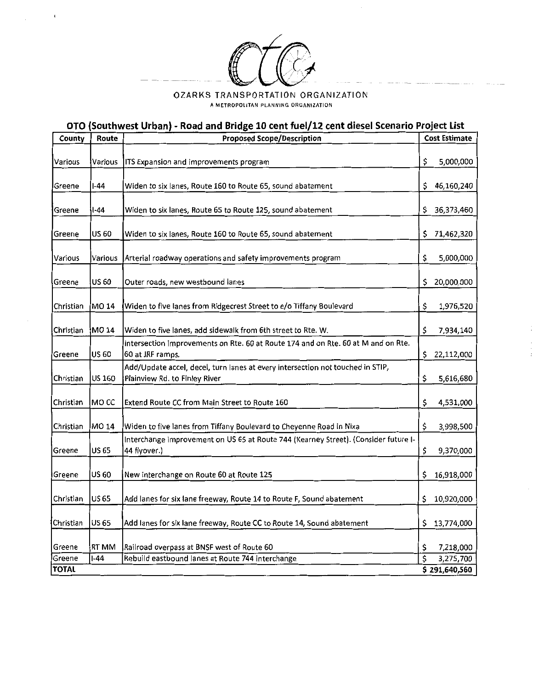

 $\mathfrak i$ 

## 02ARKS TRANSPORTATION ORGANIZATION A METROPOLITAN PLANNING ORGANIZATION

## OTO (Southwest Urban) - Road and Bridge 10 cent fuel/12 cent diesel Scenario Project List

| County         | Route        | <b>Proposed Scope/Description</b>                                                                     |    | <b>Cost Estimate</b>       |  |  |
|----------------|--------------|-------------------------------------------------------------------------------------------------------|----|----------------------------|--|--|
|                |              |                                                                                                       |    |                            |  |  |
| <b>Various</b> | Various      | ITS Expansion and improvements program                                                                | \$ | 5,000,000                  |  |  |
|                |              |                                                                                                       |    |                            |  |  |
| Greene         | I-44         | Widen to six lanes, Route 160 to Route 65, sound abatement                                            | \$ | 46,160,240                 |  |  |
| Greene         | l-44         | Widen to six lanes, Route 65 to Route 125, sound abatement                                            | \$ | 36,373,460                 |  |  |
| Greene         | US 60        | Widen to six lanes, Route 160 to Route 65, sound abatement                                            | \$ | 71,462,320                 |  |  |
| Various        | Various      | Arterial roadway operations and safety improvements program                                           | \$ | 5,000,000                  |  |  |
|                |              |                                                                                                       |    |                            |  |  |
| Greene         | <b>US 60</b> | Outer roads, new westbound lanes                                                                      | \$ | 20,000,000                 |  |  |
| Christian      | MO 14        | Widen to five lanes from Ridgecrest Street to e/o Tiffany Boulevard                                   | \$ | 1,976,520                  |  |  |
|                |              |                                                                                                       |    |                            |  |  |
| Christian      | MO 14        | Widen to five lanes, add sidewalk from 6th street to Rte. W.                                          | \$ | 7,934,140                  |  |  |
| Greene         | US 60        | Intersection improvements on Rte. 60 at Route 174 and on Rte. 60 at M and on Rte.<br>60 at JRF ramps. | \$ | 22,112,000                 |  |  |
|                |              | Add/Update accel, decel, turn lanes at every intersection not touched in STIP,                        |    |                            |  |  |
| Christian      | US 160       | Plainview Rd. to Finley River                                                                         | \$ | 5,616,680                  |  |  |
| Christian      | MO CC        | Extend Route CC from Main Street to Route 160                                                         | \$ | 4,531,000                  |  |  |
| Christian      | MO 14        | Widen to five lanes from Tiffany Boulevard to Cheyenne Road in Nixa                                   | \$ | 3,998,500                  |  |  |
|                |              | Interchange improvement on US 65 at Route 744 (Kearney Street). (Consider future I-                   |    |                            |  |  |
| Greene         | US 65        | 44 flyover.)                                                                                          | \$ | 9,370,000                  |  |  |
| Greene         | US 60        | New interchange on Route 60 at Route 125                                                              | \$ | 16,918,000                 |  |  |
| Christian      | <b>US 65</b> | Add lanes for six lane freeway, Route 14 to Route F, Sound abatement                                  | \$ | 10,920,000                 |  |  |
| Christian      | <b>US 65</b> | Add lanes for six lane freeway, Route CC to Route 14, Sound abatement                                 | s  | 13,774,000                 |  |  |
|                |              |                                                                                                       |    |                            |  |  |
| Greene         | RT MM        | Railroad overpass at BNSF west of Route 60                                                            | \$ | 7,218,000                  |  |  |
| Greene         | 1-44         | Rebuild eastbound lanes at Route 744 interchange                                                      | \$ | 3,275,700<br>\$291,640,560 |  |  |
| <b>TOTAL</b>   |              |                                                                                                       |    |                            |  |  |